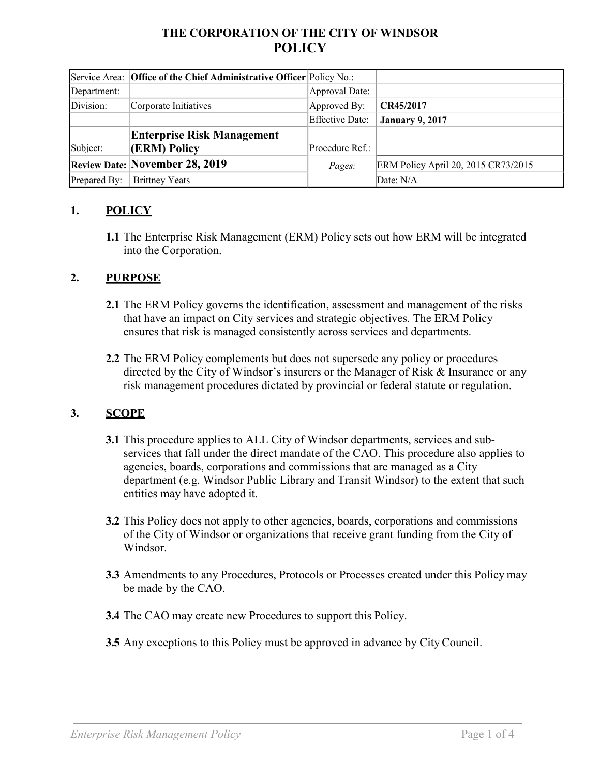# **THE CORPORATION OF THE CITY OF WINDSOR POLICY**

|              | Service Area: Office of the Chief Administrative Officer Policy No.: |                        |                                            |
|--------------|----------------------------------------------------------------------|------------------------|--------------------------------------------|
| Department:  |                                                                      | Approval Date:         |                                            |
| Division:    | Corporate Initiatives                                                | Approved By:           | CR45/2017                                  |
|              |                                                                      | <b>Effective Date:</b> | <b>January 9, 2017</b>                     |
|              | <b>Enterprise Risk Management</b>                                    |                        |                                            |
| Subject:     | (ERM) Policy                                                         | Procedure Ref.:        |                                            |
|              | <b>Review Date: November 28, 2019</b>                                | Pages:                 | <b>ERM Policy April 20, 2015 CR73/2015</b> |
| Prepared By: | <b>Brittney Yeats</b>                                                |                        | Date: N/A                                  |

### **1. POLICY**

**1.1** The Enterprise Risk Management (ERM) Policy sets out how ERM will be integrated into the Corporation.

#### **2. PURPOSE**

- **2.1** The ERM Policy governs the identification, assessment and management of the risks that have an impact on City services and strategic objectives. The ERM Policy ensures that risk is managed consistently across services and departments.
- **2.2** The ERM Policy complements but does not supersede any policy or procedures directed by the City of Windsor's insurers or the Manager of Risk & Insurance or any risk management procedures dictated by provincial or federal statute or regulation.

#### **3. SCOPE**

- **3.1** This procedure applies to ALL City of Windsor departments, services and subservices that fall under the direct mandate of the CAO. This procedure also applies to agencies, boards, corporations and commissions that are managed as a City department (e.g. Windsor Public Library and Transit Windsor) to the extent that such entities may have adopted it.
- **3.2** This Policy does not apply to other agencies, boards, corporations and commissions of the City of Windsor or organizations that receive grant funding from the City of Windsor.
- **3.3** Amendments to any Procedures, Protocols or Processes created under this Policy may be made by the CAO.
- **3.4** The CAO may create new Procedures to support this Policy.
- **3.5** Any exceptions to this Policy must be approved in advance by City Council.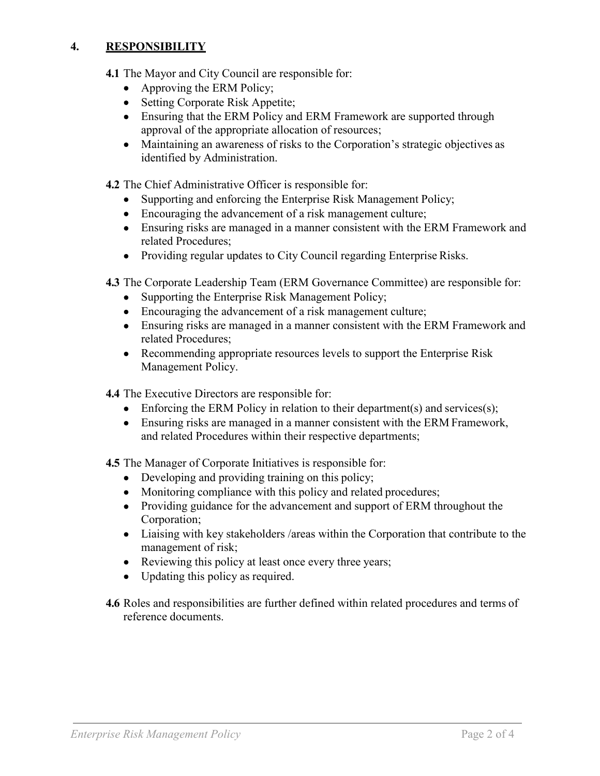### **4. RESPONSIBILITY**

- **4.1** The Mayor and City Council are responsible for:
	- Approving the ERM Policy;
	- Setting Corporate Risk Appetite;
	- Ensuring that the ERM Policy and ERM Framework are supported through approval of the appropriate allocation of resources;
	- Maintaining an awareness of risks to the Corporation's strategic objectives as identified by Administration.

**4.2** The Chief Administrative Officer is responsible for:

- Supporting and enforcing the Enterprise Risk Management Policy;
- Encouraging the advancement of a risk management culture;
- Ensuring risks are managed in a manner consistent with the ERM Framework and related Procedures;
- Providing regular updates to City Council regarding Enterprise Risks.

**4.3** The Corporate Leadership Team (ERM Governance Committee) are responsible for:

- Supporting the Enterprise Risk Management Policy;
- Encouraging the advancement of a risk management culture;
- Ensuring risks are managed in a manner consistent with the ERM Framework and related Procedures;
- Recommending appropriate resources levels to support the Enterprise Risk Management Policy.
- **4.4** The Executive Directors are responsible for:
	- Enforcing the ERM Policy in relation to their department(s) and services(s);
	- Ensuring risks are managed in a manner consistent with the ERM Framework, and related Procedures within their respective departments;

**4.5** The Manager of Corporate Initiatives is responsible for:

- Developing and providing training on this policy;
- Monitoring compliance with this policy and related procedures;
- Providing guidance for the advancement and support of ERM throughout the Corporation;
- Liaising with key stakeholders / areas within the Corporation that contribute to the management of risk;
- Reviewing this policy at least once every three years;
- Updating this policy as required.
- **4.6** Roles and responsibilities are further defined within related procedures and terms of reference documents.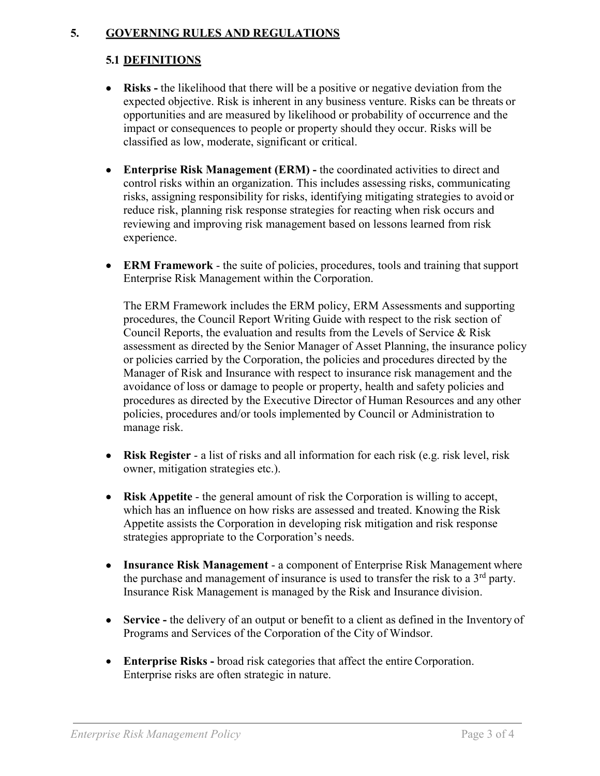#### **5. GOVERNING RULES AND REGULATIONS**

# **5.1 DEFINITIONS**

- **Risks -** the likelihood that there will be a positive or negative deviation from the expected objective. Risk is inherent in any business venture. Risks can be threats or opportunities and are measured by likelihood or probability of occurrence and the impact or consequences to people or property should they occur. Risks will be classified as low, moderate, significant or critical.
- **Enterprise Risk Management (ERM) -** the coordinated activities to direct and control risks within an organization. This includes assessing risks, communicating risks, assigning responsibility for risks, identifying mitigating strategies to avoid or reduce risk, planning risk response strategies for reacting when risk occurs and reviewing and improving risk management based on lessons learned from risk experience.
- **ERM Framework** the suite of policies, procedures, tools and training that support Enterprise Risk Management within the Corporation.

The ERM Framework includes the ERM policy, ERM Assessments and supporting procedures, the Council Report Writing Guide with respect to the risk section of Council Reports, the evaluation and results from the Levels of Service & Risk assessment as directed by the Senior Manager of Asset Planning, the insurance policy or policies carried by the Corporation, the policies and procedures directed by the Manager of Risk and Insurance with respect to insurance risk management and the avoidance of loss or damage to people or property, health and safety policies and procedures as directed by the Executive Director of Human Resources and any other policies, procedures and/or tools implemented by Council or Administration to manage risk.

- **Risk Register**  a list of risks and all information for each risk (e.g. risk level, risk owner, mitigation strategies etc.).
- **Risk Appetite**  the general amount of risk the Corporation is willing to accept, which has an influence on how risks are assessed and treated. Knowing the Risk Appetite assists the Corporation in developing risk mitigation and risk response strategies appropriate to the Corporation's needs.
- **Insurance Risk Management**  a component of Enterprise Risk Management where the purchase and management of insurance is used to transfer the risk to a  $3<sup>rd</sup>$  party. Insurance Risk Management is managed by the Risk and Insurance division.
- **Service** the delivery of an output or benefit to a client as defined in the Inventory of Programs and Services of the Corporation of the City of Windsor.
- **Enterprise Risks -** broad risk categories that affect the entire Corporation. Enterprise risks are often strategic in nature.